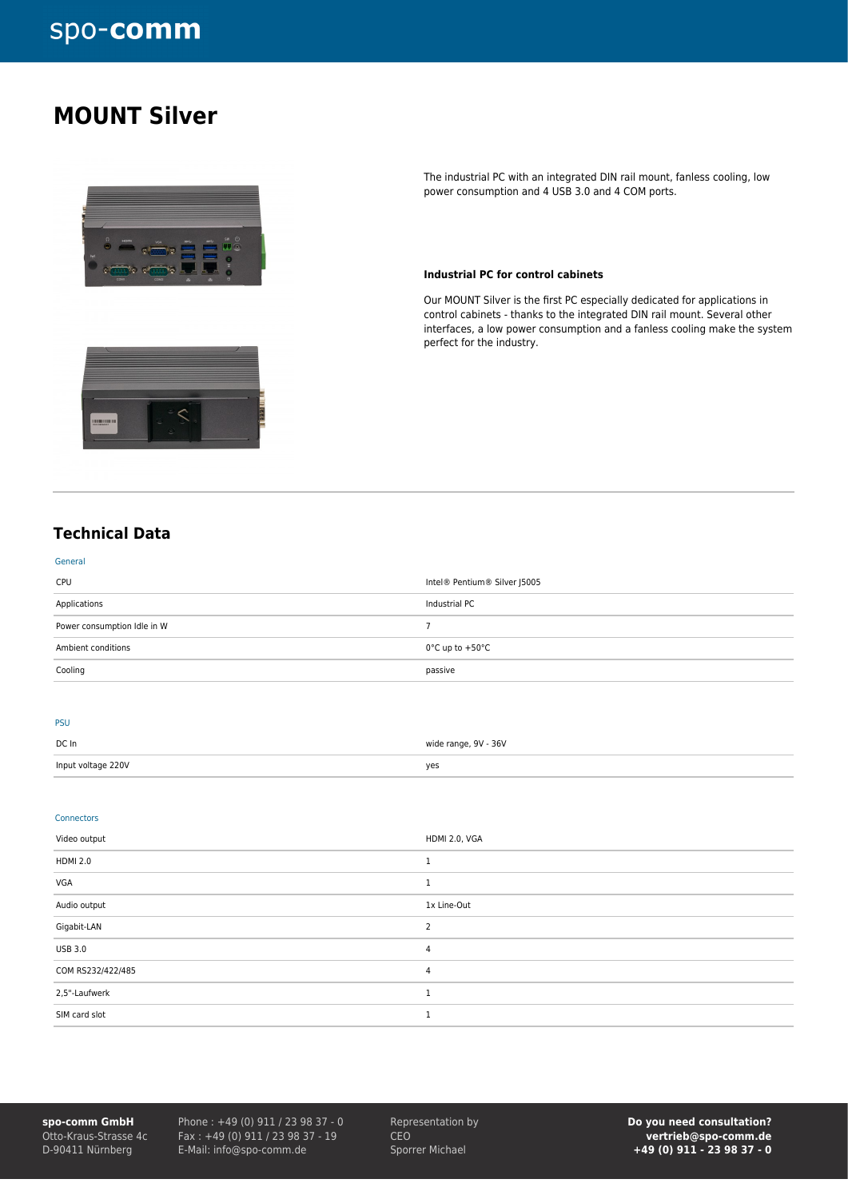## **MOUNT Silver**



The industrial PC with an integrated DIN rail mount, fanless cooling, low power consumption and 4 USB 3.0 and 4 COM ports.

#### **Industrial PC for control cabinets**

Our MOUNT Silver is the first PC especially dedicated for applications in control cabinets - thanks to the integrated DIN rail mount. Several other interfaces, a low power consumption and a fanless cooling make the system perfect for the industry.

### **Technical Data**

| Cooling                     | passive                              |
|-----------------------------|--------------------------------------|
| Ambient conditions          | $0^{\circ}$ C up to +50 $^{\circ}$ C |
| Power consumption Idle in W |                                      |
| Applications                | Industrial PC                        |
| CPU                         | Intel® Pentium® Silver J5005         |
| General                     |                                      |

#### PSU

| DC In              | wide range, 9V - 36V |
|--------------------|----------------------|
| Input voltage 220V | yes                  |

#### Connectors

| Video output      | HDMI 2.0, VGA |
|-------------------|---------------|
| <b>HDMI 2.0</b>   |               |
| VGA               |               |
| Audio output      | 1x Line-Out   |
| Gigabit-LAN       |               |
| <b>USB 3.0</b>    | 4             |
| COM RS232/422/485 | 4             |
| 2,5"-Laufwerk     |               |
| SIM card slot     |               |

**spo-comm GmbH** Otto-Kraus-Strasse 4c D-90411 Nürnberg

Phone : +49 (0) 911 / 23 98 37 - 0 Fax : +49 (0) 911 / 23 98 37 - 19 E-Mail: info@spo-comm.de

Representation by CEO Sporrer Michael

**Do you need consultation? vertrieb@spo-comm.de +49 (0) 911 - 23 98 37 - 0**